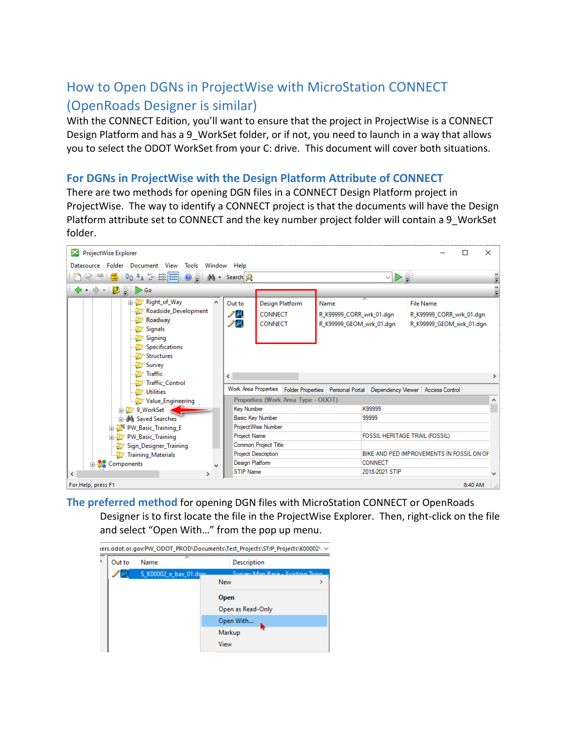## How to Open DGNs in ProjectWise with MicroStation CONNECT (OpenRoads Designer is similar)

With the CONNECT Edition, you'll want to ensure that the project in ProjectWise is a CONNECT Design Platform and has a 9 WorkSet folder, or if not, you need to launch in a way that allows you to select the ODOT WorkSet from your C: drive. This document will cover both situations.

## **For DGNs in ProjectWise with the Design Platform Attribute of CONNECT**

There are two methods for opening DGN files in a CONNECT Design Platform project in ProjectWise. The way to identify a CONNECT project is that the documents will have the Design Platform attribute set to CONNECT and the key number project folder will contain a 9 WorkSet folder.

| ProjectWise Explorer<br>×<br>г                                                                |                             |                                                                                         |                          |        |                          |         |   |
|-----------------------------------------------------------------------------------------------|-----------------------------|-----------------------------------------------------------------------------------------|--------------------------|--------|--------------------------|---------|---|
| Datasource Folder Document View Tools Window Help                                             |                             |                                                                                         |                          |        |                          |         |   |
| マタ   d   Dp   a :- 註   □   o   a : 納 - Search Q<br>MD ∍i                                      |                             |                                                                                         |                          |        |                          |         |   |
| ♦ · ♦ · D . D < 0                                                                             |                             |                                                                                         |                          |        |                          |         |   |
| Right_of_Way                                                                                  | Out to                      | <b>Design Platform</b>                                                                  | Name                     | ᅎ      | <b>File Name</b>         |         |   |
| Roadside_Development                                                                          | 2 pr.                       | <b>CONNECT</b>                                                                          | R_K99999_CORR_wrk_01.dgn |        | R_K99999_CORR_wrk_01.dgn |         |   |
| Roadway                                                                                       | $\mathscr{S}^{\mathcal{M}}$ | <b>CONNECT</b>                                                                          | R K99999 GEOM wrk 01.dqn |        | R_K99999_GEOM_wrk_01.dgn |         |   |
| Signals                                                                                       |                             |                                                                                         |                          |        |                          |         |   |
| Signing                                                                                       |                             |                                                                                         |                          |        |                          |         |   |
| Specifications                                                                                |                             |                                                                                         |                          |        |                          |         |   |
| Structures<br>Survey                                                                          |                             |                                                                                         |                          |        |                          |         |   |
| <b>Traffic</b>                                                                                |                             |                                                                                         |                          |        |                          |         |   |
| <b>Traffic Control</b>                                                                        | ≺                           |                                                                                         |                          |        |                          |         |   |
| <b>Utilities</b>                                                                              |                             | Work Area Properties Folder Properties Personal Portal Dependency Viewer Access Control |                          |        |                          |         |   |
| Value_Engineering                                                                             |                             | Properties (Work Area Type - ODOT)                                                      |                          |        |                          |         | ∧ |
| 9 WorkSet                                                                                     | <b>Key Number</b>           |                                                                                         |                          | K99999 |                          |         |   |
| ம்  இரு Saved Searches                                                                        |                             | <b>Basic Key Number</b>                                                                 |                          | 99999  |                          |         |   |
| <b>EDITOR</b> PW_Basic_Training_E                                                             |                             | <b>ProjectWise Number</b>                                                               |                          |        |                          |         |   |
| <b>FOSSIL HERITAGE TRAIL (FOSSIL)</b><br>Project Name<br><b>ELLEY PW Basic Training</b>       |                             |                                                                                         |                          |        |                          |         |   |
| <b>Common Project Title</b><br>Sign_Designer_Training                                         |                             |                                                                                         |                          |        |                          |         |   |
| <b>Project Description</b><br>BIKE AND PED IMPROVEMENTS IN FOSSIL ON OF<br>Training_Materials |                             |                                                                                         |                          |        |                          |         |   |
| Design Platform<br><b>CONNECT</b><br>Components<br><b>STIP Name</b><br>2018-2021 STIP         |                             |                                                                                         |                          |        |                          |         |   |
| $\leftarrow$<br>$\rightarrow$                                                                 |                             |                                                                                         |                          |        |                          |         |   |
| For Help, press F1                                                                            |                             |                                                                                         |                          |        |                          | 8:40 AM |   |

**The preferred method** for opening DGN files with MicroStation CONNECT or OpenRoads Designer is to first locate the file in the ProjectWise Explorer. Then, right-click on the file and select "Open With…" from the pop up menu.

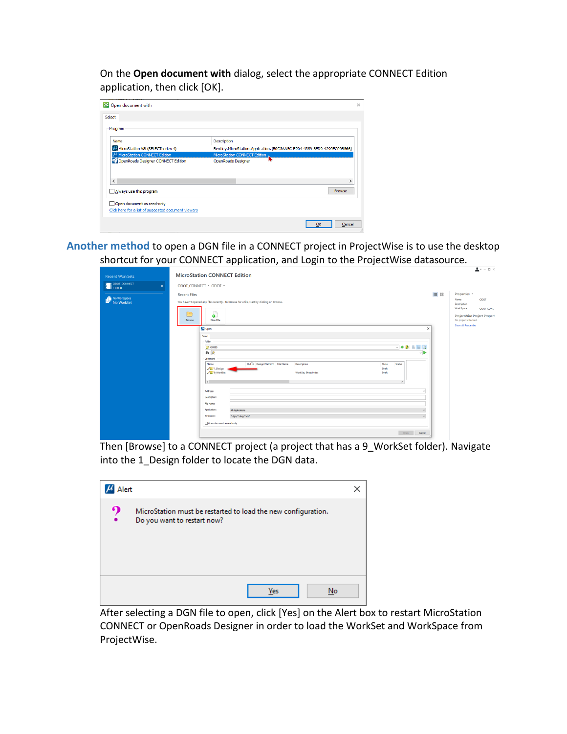On the **Open document with** dialog, select the appropriate CONNECT Edition application, then click [OK].

| 24 Open document with                               | $\times$                                                                |
|-----------------------------------------------------|-------------------------------------------------------------------------|
| Select                                              |                                                                         |
| Program                                             |                                                                         |
| Name                                                | Description                                                             |
| MicroStation V8i (SELECTseries 4)                   | Bentley.MicroStation.Application.{B0C3AA5C-F204-4359-8FD9-4299FC09B566} |
| MicroStation CONNECT Edition                        | MicroStation CONNECT Edition,                                           |
| OpenRoads Designer CONNECT Edition                  | OpenRoads Designer                                                      |
|                                                     |                                                                         |
|                                                     |                                                                         |
| $\epsilon$                                          |                                                                         |
| Always use this program                             | <b>Browse</b>                                                           |
| Open document as read-only                          |                                                                         |
| Click here for a list of suggested document viewers |                                                                         |
|                                                     | Cancel<br>ОК                                                            |

**Another method** to open a DGN file in a CONNECT project in ProjectWise is to use the desktop shortcut for your CONNECT application, and Login to the ProjectWise datasource.

|                                    | <b>MicroStation CONNECT Edition</b>                                                             |     | $\blacksquare$ $\cdot$ $ \Box$ $\times$              |
|------------------------------------|-------------------------------------------------------------------------------------------------|-----|------------------------------------------------------|
| <b>Recent WorkSets</b>             |                                                                                                 |     |                                                      |
| <b>B</b> ODOT_CONNECT<br>$\bullet$ | ODOT_CONNECT · ODOT ·                                                                           |     |                                                      |
|                                    | <b>Recent Files</b>                                                                             | ≡ 器 | Properties *                                         |
| No WorkSpace<br>No WorkSet         | You haven't opened any files recently. To browse for a file, start by clicking on Browse.       |     | ODOT<br>Name<br>Description                          |
|                                    | m                                                                                               |     | WorkSpace<br>ODOT_CON                                |
|                                    | ا ه<br>$\overline{\phantom{a}}$<br><b>New File</b><br>Browse                                    |     | ProjectWise Project Properti<br>No project attached. |
|                                    | A Open<br>$\times$                                                                              |     | <b>Show All Properties</b>                           |
|                                    | Select                                                                                          |     |                                                      |
|                                    | Folder                                                                                          |     |                                                      |
|                                    | ◡+।▦▦▮Q<br><b>2% K99999</b>                                                                     |     |                                                      |
|                                    | 两见<br>◡▶                                                                                        |     |                                                      |
|                                    | <b>Document</b>                                                                                 |     |                                                      |
|                                    | Out to Design Platform File Name<br>Description<br>State<br>Status<br>Name<br>/ Design<br>Draft |     |                                                      |
|                                    | / D'9 WorkSet<br>WorkSet, Sheet Index<br>Draft                                                  |     |                                                      |
|                                    |                                                                                                 |     |                                                      |
|                                    | $\left\langle \cdot \right\rangle$                                                              |     |                                                      |
|                                    | Address:                                                                                        |     |                                                      |
|                                    | Description:                                                                                    |     |                                                      |
|                                    | File Name:                                                                                      |     |                                                      |
|                                    | Application:<br>All Applications                                                                |     |                                                      |
|                                    | Extension:<br>".dgn;".dwg;".dxf                                                                 |     |                                                      |
|                                    | Open document as read-only                                                                      |     |                                                      |
|                                    |                                                                                                 |     |                                                      |
|                                    | Cancel<br>Open                                                                                  |     |                                                      |

Then [Browse] to a CONNECT project (a project that has a 9\_WorkSet folder). Navigate into the 1\_Design folder to locate the DGN data.

| Alert |                                                                                              |  |
|-------|----------------------------------------------------------------------------------------------|--|
| ?     | MicroStation must be restarted to load the new configuration.<br>Do you want to restart now? |  |
|       | Yes<br>No                                                                                    |  |

After selecting a DGN file to open, click [Yes] on the Alert box to restart MicroStation CONNECT or OpenRoads Designer in order to load the WorkSet and WorkSpace from ProjectWise.